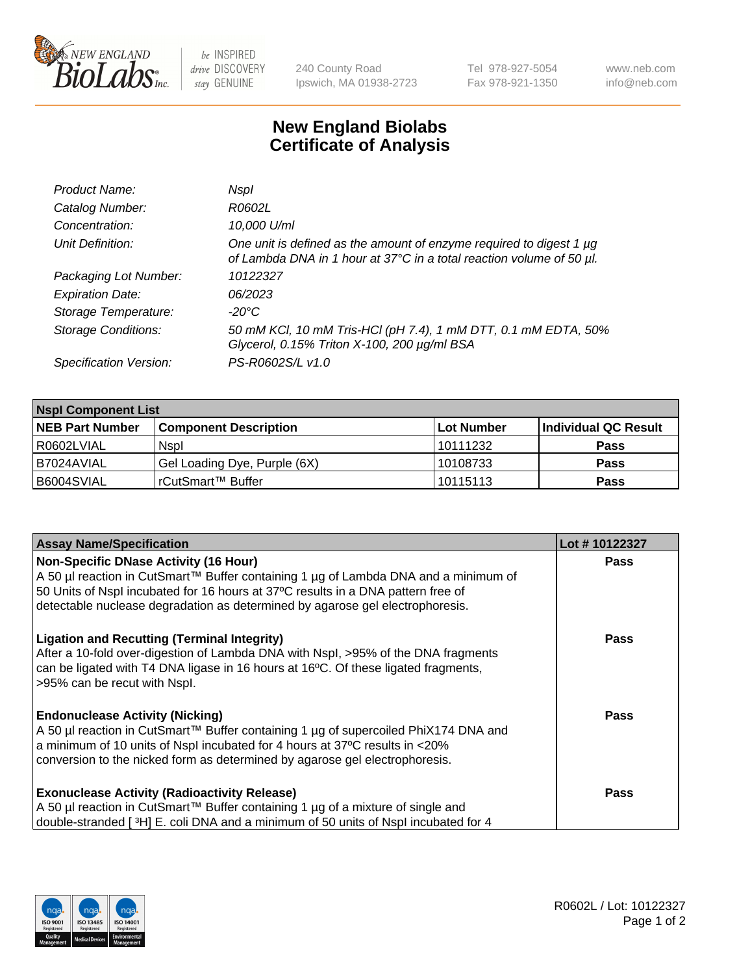

be INSPIRED drive DISCOVERY stay GENUINE

240 County Road Ipswich, MA 01938-2723 Tel 978-927-5054 Fax 978-921-1350 www.neb.com info@neb.com

## **New England Biolabs Certificate of Analysis**

| Product Name:              | Nspl                                                                                                                                        |
|----------------------------|---------------------------------------------------------------------------------------------------------------------------------------------|
| Catalog Number:            | R0602L                                                                                                                                      |
| Concentration:             | 10,000 U/ml                                                                                                                                 |
| Unit Definition:           | One unit is defined as the amount of enzyme required to digest 1 µg<br>of Lambda DNA in 1 hour at 37°C in a total reaction volume of 50 µl. |
| Packaging Lot Number:      | 10122327                                                                                                                                    |
| <b>Expiration Date:</b>    | 06/2023                                                                                                                                     |
| Storage Temperature:       | -20°C                                                                                                                                       |
| <b>Storage Conditions:</b> | 50 mM KCl, 10 mM Tris-HCl (pH 7.4), 1 mM DTT, 0.1 mM EDTA, 50%<br>Glycerol, 0.15% Triton X-100, 200 µg/ml BSA                               |
| Specification Version:     | PS-R0602S/L v1.0                                                                                                                            |

| <b>Nspl Component List</b> |                              |             |                      |  |  |
|----------------------------|------------------------------|-------------|----------------------|--|--|
| <b>NEB Part Number</b>     | <b>Component Description</b> | ∣Lot Number | Individual QC Result |  |  |
| R0602LVIAL                 | <b>Nspl</b>                  | 10111232    | <b>Pass</b>          |  |  |
| I B7024AVIAL               | Gel Loading Dye, Purple (6X) | 10108733    | <b>Pass</b>          |  |  |
| B6004SVIAL                 | rCutSmart™ Buffer            | 10115113    | <b>Pass</b>          |  |  |

| <b>Assay Name/Specification</b>                                                              | Lot #10122327 |
|----------------------------------------------------------------------------------------------|---------------|
| Non-Specific DNase Activity (16 Hour)                                                        | <b>Pass</b>   |
| A 50 µl reaction in CutSmart™ Buffer containing 1 µg of Lambda DNA and a minimum of          |               |
| 50 Units of Nspl incubated for 16 hours at 37°C results in a DNA pattern free of             |               |
| detectable nuclease degradation as determined by agarose gel electrophoresis.                |               |
| <b>Ligation and Recutting (Terminal Integrity)</b>                                           | <b>Pass</b>   |
| After a 10-fold over-digestion of Lambda DNA with Nspl, >95% of the DNA fragments            |               |
| can be ligated with T4 DNA ligase in 16 hours at 16 $\degree$ C. Of these ligated fragments, |               |
| >95% can be recut with Nspl.                                                                 |               |
| <b>Endonuclease Activity (Nicking)</b>                                                       | Pass          |
| A 50 µl reaction in CutSmart™ Buffer containing 1 µg of supercoiled PhiX174 DNA and          |               |
| a minimum of 10 units of Nspl incubated for 4 hours at 37°C results in <20%                  |               |
| conversion to the nicked form as determined by agarose gel electrophoresis.                  |               |
| <b>Exonuclease Activity (Radioactivity Release)</b>                                          | <b>Pass</b>   |
| A 50 µl reaction in CutSmart™ Buffer containing 1 µg of a mixture of single and              |               |
| double-stranded [3H] E. coli DNA and a minimum of 50 units of Nspl incubated for 4           |               |